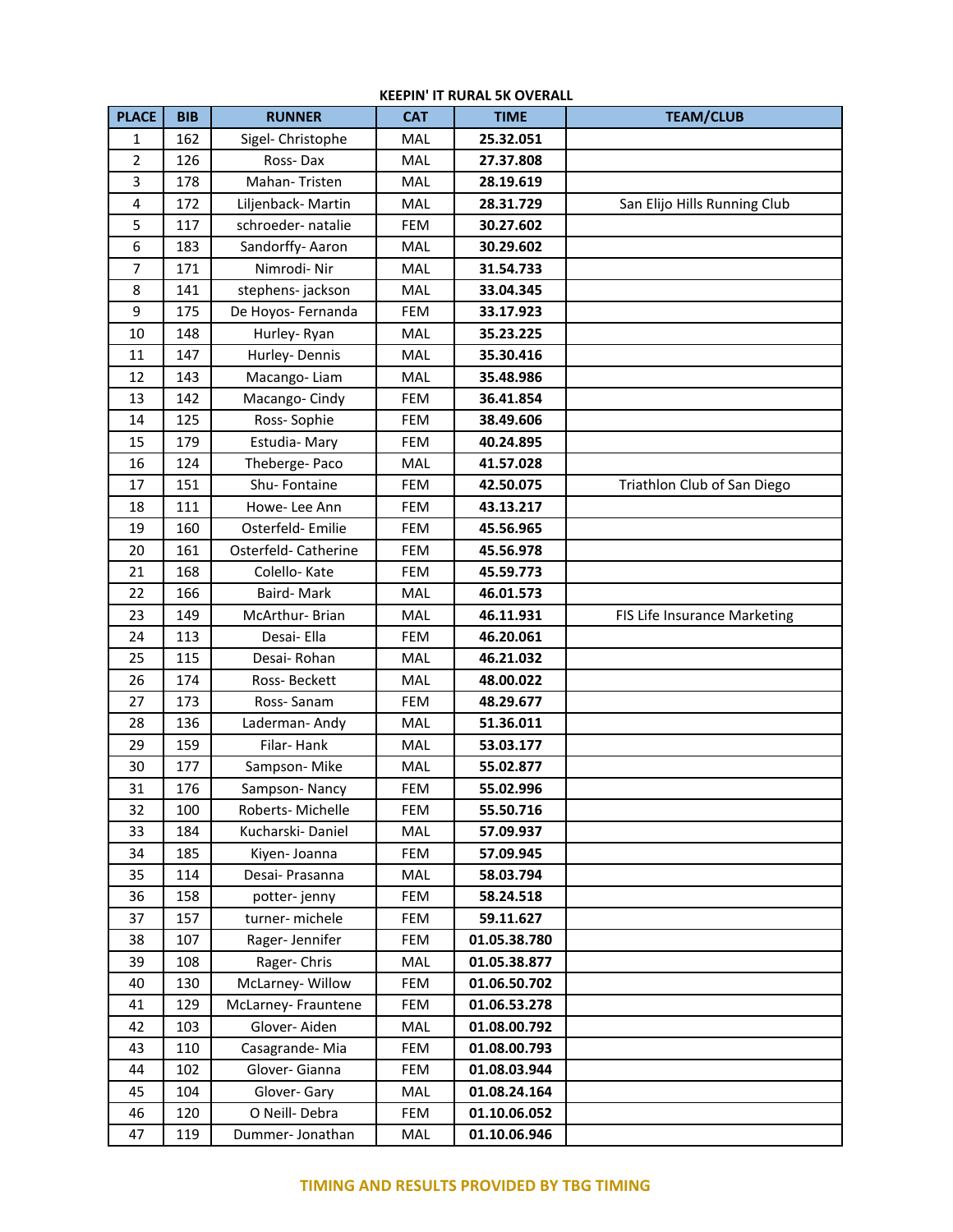| <b>PLACE</b>   | <b>BIB</b> | <b>RUNNER</b>       | <b>CAT</b> | <b>TIME</b>  | <b>TEAM/CLUB</b>             |
|----------------|------------|---------------------|------------|--------------|------------------------------|
| 1              | 162        | Sigel- Christophe   | MAL        | 25.32.051    |                              |
| $\overline{2}$ | 126        | Ross-Dax            | MAL        | 27.37.808    |                              |
| 3              | 178        | Mahan-Tristen       | MAL        | 28.19.619    |                              |
| 4              | 172        | Liljenback-Martin   | MAL        | 28.31.729    | San Elijo Hills Running Club |
| 5              | 117        | schroeder- natalie  | <b>FEM</b> | 30.27.602    |                              |
| 6              | 183        | Sandorffy-Aaron     | MAL        | 30.29.602    |                              |
| 7              | 171        | Nimrodi-Nir         | MAL        | 31.54.733    |                              |
| 8              | 141        | stephens-jackson    | MAL        | 33.04.345    |                              |
| 9              | 175        | De Hoyos- Fernanda  | <b>FEM</b> | 33.17.923    |                              |
| 10             | 148        | Hurley-Ryan         | MAL        | 35.23.225    |                              |
| 11             | 147        | Hurley-Dennis       | <b>MAL</b> | 35.30.416    |                              |
| 12             | 143        | Macango-Liam        | MAL        | 35.48.986    |                              |
| 13             | 142        | Macango-Cindy       | <b>FEM</b> | 36.41.854    |                              |
| 14             | 125        | Ross-Sophie         | <b>FEM</b> | 38.49.606    |                              |
| 15             | 179        | Estudia-Mary        | <b>FEM</b> | 40.24.895    |                              |
| 16             | 124        | Theberge-Paco       | MAL        | 41.57.028    |                              |
| 17             | 151        | Shu-Fontaine        | <b>FEM</b> | 42.50.075    | Triathlon Club of San Diego  |
| 18             | 111        | Howe-Lee Ann        | <b>FEM</b> | 43.13.217    |                              |
| 19             | 160        | Osterfeld-Emilie    | <b>FEM</b> | 45.56.965    |                              |
| 20             | 161        | Osterfeld-Catherine | <b>FEM</b> | 45.56.978    |                              |
| 21             | 168        | Colello-Kate        | FEM        | 45.59.773    |                              |
| 22             | 166        | Baird-Mark          | <b>MAL</b> | 46.01.573    |                              |
| 23             | 149        | McArthur-Brian      | MAL        | 46.11.931    | FIS Life Insurance Marketing |
| 24             | 113        | Desai- Ella         | <b>FEM</b> | 46.20.061    |                              |
| 25             | 115        | Desai-Rohan         | MAL        | 46.21.032    |                              |
| 26             | 174        | Ross-Beckett        | <b>MAL</b> | 48.00.022    |                              |
| 27             | 173        | Ross-Sanam          | <b>FEM</b> | 48.29.677    |                              |
| 28             | 136        | Laderman-Andy       | MAL        | 51.36.011    |                              |
| 29             | 159        | Filar-Hank          | <b>MAL</b> | 53.03.177    |                              |
| 30             | 177        | Sampson-Mike        | MAL        | 55.02.877    |                              |
| 31             | 176        | Sampson-Nancy       | <b>FEM</b> | 55.02.996    |                              |
| 32             | 100        | Roberts- Michelle   | FEM        | 55.50.716    |                              |
| 33             | 184        | Kucharski-Daniel    | <b>MAL</b> | 57.09.937    |                              |
| 34             | 185        | Kiyen- Joanna       | FEM        | 57.09.945    |                              |
| 35             | 114        | Desai- Prasanna     | MAL        | 58.03.794    |                              |
| 36             | 158        | potter-jenny        | FEM        | 58.24.518    |                              |
| 37             | 157        | turner-michele      | FEM        | 59.11.627    |                              |
| 38             | 107        | Rager-Jennifer      | <b>FEM</b> | 01.05.38.780 |                              |
| 39             | 108        | Rager-Chris         | <b>MAL</b> | 01.05.38.877 |                              |
| 40             | 130        | McLarney-Willow     | FEM        | 01.06.50.702 |                              |
| 41             | 129        | McLarney- Frauntene | FEM        | 01.06.53.278 |                              |
| 42             | 103        | Glover-Aiden        | MAL        | 01.08.00.792 |                              |
| 43             | 110        | Casagrande-Mia      | FEM        | 01.08.00.793 |                              |
| 44             | 102        | Glover- Gianna      | FEM        | 01.08.03.944 |                              |
| 45             | 104        | Glover-Gary         | <b>MAL</b> | 01.08.24.164 |                              |
| 46             | 120        | O Neill-Debra       | FEM        | 01.10.06.052 |                              |
| 47             | 119        | Dummer-Jonathan     | MAL        | 01.10.06.946 |                              |

## **KEEPIN' IT RURAL 5K OVERALL**